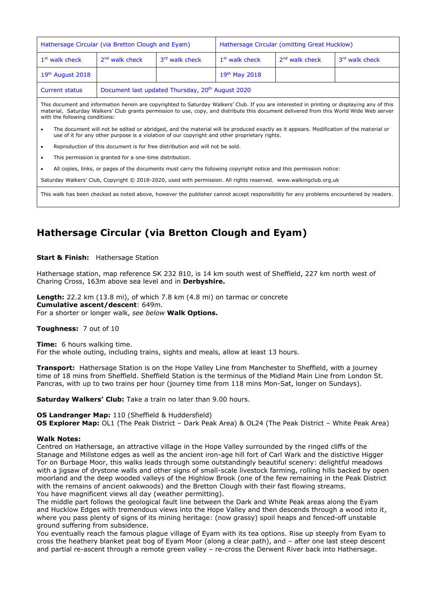| Hathersage Circular (via Bretton Clough and Eyam)                                                                                                                                                                                                                                                                        |                                                              |                | Hathersage Circular (omitting Great Hucklow) |                  |                |
|--------------------------------------------------------------------------------------------------------------------------------------------------------------------------------------------------------------------------------------------------------------------------------------------------------------------------|--------------------------------------------------------------|----------------|----------------------------------------------|------------------|----------------|
| $1st$ walk check                                                                                                                                                                                                                                                                                                         | $2nd$ walk check                                             | 3rd walk check | 1 <sup>st</sup> walk check                   | $2nd$ walk check | 3rd walk check |
| $19th$ August 2018                                                                                                                                                                                                                                                                                                       |                                                              |                | $19th$ May 2018                              |                  |                |
| <b>Current status</b>                                                                                                                                                                                                                                                                                                    | Document last updated Thursday, 20 <sup>th</sup> August 2020 |                |                                              |                  |                |
| This document and information herein are copyrighted to Saturday Walkers' Club. If you are interested in printing or displaying any of this<br>material, Saturday Walkers' Club grants permission to use, copy, and distribute this document delivered from this World Wide Web server<br>with the following conditions: |                                                              |                |                                              |                  |                |
| The document will not be edited or abridged, and the material will be produced exactly as it appears. Modification of the material or<br>use of it for any other purpose is a violation of our copyright and other proprietary rights.                                                                                   |                                                              |                |                                              |                  |                |
| Reproduction of this document is for free distribution and will not be sold.                                                                                                                                                                                                                                             |                                                              |                |                                              |                  |                |
| This permission is granted for a one-time distribution.                                                                                                                                                                                                                                                                  |                                                              |                |                                              |                  |                |

• All copies, links, or pages of the documents must carry the following copyright notice and this permission notice:

Saturday Walkers' Club, Copyright © 2018-2020, used with permission. All rights reserved. www.walkingclub.org.uk

This walk has been checked as noted above, however the publisher cannot accept responsibility for any problems encountered by readers.

# **Hathersage Circular (via Bretton Clough and Eyam)**

**Start & Finish:** Hathersage Station

Hathersage station, map reference SK 232 810, is 14 km south west of Sheffield, 227 km north west of Charing Cross, 163m above sea level and in **Derbyshire.**

**Length:** 22.2 km (13.8 mi), of which 7.8 km (4.8 mi) on tarmac or concrete **Cumulative ascent/descent**: 649m. For a shorter or longer walk, *see below* **Walk Options.**

#### **Toughness:** 7 out of 10

**Time:** 6 hours walking time. For the whole outing, including trains, sights and meals, allow at least 13 hours.

**Transport:** Hathersage Station is on the Hope Valley Line from Manchester to Sheffield, with a journey time of 18 mins from Sheffield. Sheffield Station is the terminus of the Midland Main Line from London St. Pancras, with up to two trains per hour (journey time from 118 mins Mon-Sat, longer on Sundays).

**Saturday Walkers' Club:** Take a train no later than 9.00 hours.

#### **OS Landranger Map:** 110 (Sheffield & Huddersfield)

**OS Explorer Map:** OL1 (The Peak District – Dark Peak Area) & OL24 (The Peak District – White Peak Area)

#### **Walk Notes:**

Centred on Hathersage, an attractive village in the Hope Valley surrounded by the ringed cliffs of the Stanage and Millstone edges as well as the ancient iron-age hill fort of Carl Wark and the distictive Higger Tor on Burbage Moor, this walks leads through some outstandingly beautiful scenery: delightful meadows with a jigsaw of drystone walls and other signs of small-scale livestock farming, rolling hills backed by open moorland and the deep wooded valleys of the Highlow Brook (one of the few remaining in the Peak District with the remains of ancient oakwoods) and the Bretton Clough with their fast flowing streams. You have magnificent views all day (weather permitting).

The middle part follows the geological fault line between the Dark and White Peak areas along the Eyam and Hucklow Edges with tremendous views into the Hope Valley and then descends through a wood into it, where you pass plenty of signs of its mining heritage: (now grassy) spoil heaps and fenced-off unstable ground suffering from subsidence.

You eventually reach the famous plague village of Eyam with its tea options. Rise up steeply from Eyam to cross the heathery blanket peat bog of Eyam Moor (along a clear path), and – after one last steep descent and partial re-ascent through a remote green valley – re-cross the Derwent River back into Hathersage.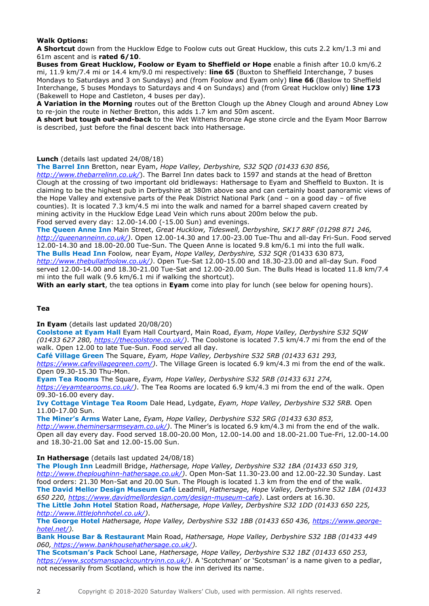### **Walk Options:**

**A Shortcut** down from the Hucklow Edge to Foolow cuts out Great Hucklow, this cuts 2.2 km/1.3 mi and 61m ascent and is **rated 6/10**.

**Buses from Great Hucklow, Foolow or Eyam to Sheffield or Hope** enable a finish after 10.0 km/6.2 mi, 11.9 km/7.4 mi or 14.4 km/9.0 mi respectively: **line 65** (Buxton to Sheffield Interchange, 7 buses Mondays to Saturdays and 3 on Sundays) and (from Foolow and Eyam only) **line 66** (Baslow to Sheffield Interchange, 5 buses Mondays to Saturdays and 4 on Sundays) and (from Great Hucklow only) **line 173** (Bakewell to Hope and Castleton, 4 buses per day).

**A Variation in the Morning** routes out of the Bretton Clough up the Abney Clough and around Abney Low to re-join the route in Nether Bretton, this adds 1.7 km and 50m ascent.

**A short but tough out-and-back** to the Wet Withens Bronze Age stone circle and the Eyam Moor Barrow is described, just before the final descent back into Hathersage.

### **Lunch** (details last updated 24/08/18)

**The Barrel Inn** Bretton, near Eyam, *Hope Valley, Derbyshire, S32 5QD (01433 630 856,* 

*<http://www.thebarrelinn.co.uk/>*). The Barrel Inn dates back to 1597 and stands at the head of Bretton Clough at the crossing of two important old bridleways: Hathersage to Eyam and Sheffield to Buxton. It is claiming to be the highest pub in Derbyshire at 380m above sea and can certainly boast panoramic views of the Hope Valley and extensive parts of the Peak District National Park (and – on a good day – of five counties). It is located 7.3 km/4.5 mi into the walk and named for a barrel shaped cavern created by mining activity in the Hucklow Edge Lead Vein which runs about 200m below the pub. Food served every day: 12.00-14.00 (-15.00 Sun) and evenings.

**The Queen Anne Inn** Main Street, *Great Hucklow, Tideswell, Derbyshire, SK17 8RF (01298 871 246,* 

*[http://queenanneinn.co.uk/\)](http://queenanneinn.co.uk/)*. Open 12.00-14.30 and 17.00-23.00 Tue-Thu and all-day Fri-Sun. Food served 12.00-14.30 and 18.00-20.00 Tue-Sun. The Queen Anne is located 9.8 km/6.1 mi into the full walk.

**The Bulls Head Inn** Foolow*,* near Eyam, *Hope Valley, Derbyshire, S32 5QR (*01433 630 873*, [http://www.thebullatfoolow.co.uk/\)](http://www.thebullatfoolow.co.uk/)*. Open Tue-Sat 12.00-15.00 and 18.30-23.00 and all-day Sun. Food served 12.00-14.00 and 18.30-21.00 Tue-Sat and 12.00-20.00 Sun. The Bulls Head is located 11.8 km/7.4 mi into the full walk (9.6 km/6.1 mi if walking the shortcut).

**With an early start**, the tea options in **Eyam** come into play for lunch (see below for opening hours).

### **Tea**

**In Eyam** (details last updated 20/08/20)

**Coolstone at Eyam Hall** Eyam Hall Courtyard, Main Road, *Eyam, Hope Valley, Derbyshire S32 5QW (01433 627 280, [https://thecoolstone.co.uk/\)](https://thecoolstone.co.uk/)*. The Coolstone is located 7.5 km/4.7 mi from the end of the walk. Open 12.00 to late Tue-Sun. Food served all day.

**Café Village Green** The Square, *Eyam, Hope Valley, Derbyshire S32 5RB (01433 631 293,* 

*[https://www.cafevillagegreen.com/\)](https://www.cafevillagegreen.com/)*. The Village Green is located 6.9 km/4.3 mi from the end of the walk. Open 09.30-15.30 Thu-Mon.

**Eyam Tea Rooms** The Square, *Eyam, Hope Valley, Derbyshire S32 5RB (01433 631 274,*

*[https://eyamtearooms.co.uk/\)](https://eyamtearooms.co.uk/)*. The Tea Rooms are located 6.9 km/4.3 mi from the end of the walk. Open 09.30-16.00 every day.

**Ivy Cottage Vintage Tea Room** Dale Head, Lydgate, *Eyam, Hope Valley, Derbyshire S32 5RB.* Open 11.00-17.00 Sun.

**The Miner's Arms** Water Lane, *Eyam, Hope Valley, Derbyshire S32 5RG (01433 630 853, [http://www.theminersarmseyam.co.uk/\)](http://www.theminersarmseyam.co.uk/)*. The Miner's is located 6.9 km/4.3 mi from the end of the walk. Open all day every day. Food served 18.00-20.00 Mon, 12.00-14.00 and 18.00-21.00 Tue-Fri, 12.00-14.00 and 18.30-21.00 Sat and 12.00-15.00 Sun.

**In Hathersage** (details last updated 24/08/18)

**The Plough Inn** Leadmill Bridge, *Hathersage, Hope Valley, Derbyshire S32 1BA (01433 650 319, [http://www.theploughinn-hathersage.co.uk/\)](http://www.theploughinn-hathersage.co.uk/)*. Open Mon-Sat 11.30-23.00 and 12.00-22.30 Sunday. Last food orders: 21.30 Mon-Sat and 20.00 Sun. The Plough is located 1.3 km from the end of the walk. **The David Mellor Design Museum Café** Leadmill, *Hathersage, Hope Valley, Derbyshire S32 1BA (01433 650 220, [https://www.davidmellordesign.com/design-museum-cafe\)](https://www.davidmellordesign.com/design-museum-cafe)*. Last orders at 16.30. **The Little John Hotel** Station Road, *Hathersage, Hope Valley, Derbyshire S32 1DD (01433 650 225,* 

*[http://www.littlejohnhotel.co.uk/\)](http://www.littlejohnhotel.co.uk/)*.

**The George Hotel** *Hathersage, Hope Valley, Derbyshire S32 1BB (01433 650 436, [https://www.george](https://www.george-hotel.net/)[hotel.net/\)](https://www.george-hotel.net/).*

**Bank House Bar & Restaurant** Main Road, *Hathersage, Hope Valley, Derbyshire S32 1BB (01433 449 060, https://www.bankhousehathersage.co.uk/).*

**The Scotsman's Pack** School Lane, *Hathersage, Hope Valley, Derbyshire S32 1BZ (01433 650 253, [https://www.scotsmanspackcountryinn.co.uk/\)](https://www.scotsmanspackcountryinn.co.uk/)*. A 'Scotchman' or 'Scotsman' is a name given to a pedlar, not necessarily from Scotland, which is how the inn derived its name.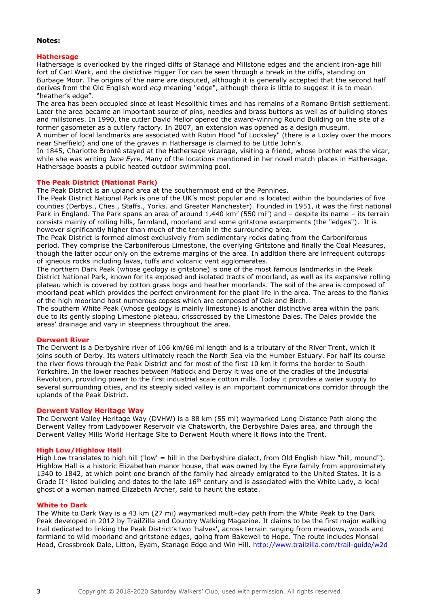#### **Notes:**

#### **Hathersage**

Hathersage is overlooked by the ringed cliffs of Stanage and Millstone edges and the ancient iron-age hill fort of Carl Wark, and the distictive Higger Tor can be seen through a break in the cliffs, standing on Burbage Moor. The origins of the name are disputed, although it is generally accepted that the second half derives from the Old English word *ecg* meaning "edge", although there is little to suggest it is to mean "heather's edge".

The area has been occupied since at least Mesolithic times and has remains of a Romano British settlement. Later the area became an important source of pins, needles and brass buttons as well as of building stones and millstones. In 1990, the cutler David Mellor opened the award-winning Round Building on the site of a former gasometer as a cutlery factory. In 2007, an extension was opened as a design museum.

A number of local landmarks are associated with Robin Hood "of Locksley" (there is a Loxley over the moors near Sheffield) and one of the graves in Hathersage is claimed to be Little John's.

In 1845, Charlotte Brontë stayed at the Hathersage vicarage, visiting a friend, whose brother was the vicar, while she was writing *Jane Eyre*. Many of the locations mentioned in her novel match places in Hathersage. Hathersage boasts a public heated outdoor swimming pool.

#### **The Peak District (National Park)**

The Peak District is an upland area at the southernmost end of the Pennines.

The Peak District National Park is one of the UK's most popular and is located within the boundaries of five counties (Derbys., Ches., Staffs., Yorks. and Greater Manchester). Founded in 1951, it was the first national Park in England. The Park spans an area of around  $1,440$  km<sup>2</sup> (550 mi<sup>2</sup>) and – despite its name – its terrain consists mainly of rolling hills, farmland, moorland and some gritstone escarpments (the "edges"). It is however significantly higher than much of the terrain in the surrounding area.

The Peak District is formed almost exclusively from sedimentary rocks dating from the Carboniferous period. They comprise the Carboniferous Limestone, the overlying Gritstone and finally the Coal Measures, though the latter occur only on the extreme margins of the area. In addition there are infrequent outcrops of igneous rocks including lavas, tuffs and volcanic vent agglomerates.

The northern Dark Peak (whose geology is gritstone) is one of the most famous landmarks in the Peak District National Park, known for its exposed and isolated tracts of moorland, as well as its expansive rolling plateau which is covered by cotton grass bogs and heather moorlands. The soil of the area is composed of moorland peat which provides the perfect environment for the plant life in the area. The areas to the flanks of the high moorland host numerous copses which are composed of Oak and Birch.

The southern White Peak (whose geology is mainly limestone) is another distinctive area within the park due to its gently sloping Limestone plateau, crisscrossed by the Limestone Dales. The Dales provide the areas' drainage and vary in steepness throughout the area.

#### **Derwent River**

The Derwent is a Derbyshire river of 106 km/66 mi length and is a tributary of the River Trent, which it joins south of Derby. Its waters ultimately reach the North Sea via the Humber Estuary. For half its course the river flows through the Peak District and for most of the first 10 km it forms the border to South Yorkshire. In the lower reaches between Matlock and Derby it was one of the cradles of the Industrial Revolution, providing power to the first industrial scale cotton mills. Today it provides a water supply to several surrounding cities, and its steeply sided valley is an important communications corridor through the uplands of the Peak District.

#### **Derwent Valley Heritage Way**

The Derwent Valley Heritage Way (DVHW) is a 88 km (55 mi) waymarked Long Distance Path along the Derwent Valley from Ladybower Reservoir via Chatsworth, the Derbyshire Dales area, and through the Derwent Valley Mills World Heritage Site to Derwent Mouth where it flows into the Trent.

#### **High Low/Highlow Hall**

High Low translates to high hill ('low' = hill in the Derbyshire dialect, from Old English hlaw "hill, mound"). Highlow Hall is a historic Elizabethan manor house, that was owned by the Eyre family from approximately 1340 to 1842, at which point one branch of the family had already emigrated to the United States. It is a Grade II\* listed building and dates to the late  $16<sup>th</sup>$  century and is associated with the White Lady, a local ghost of a woman named Elizabeth Archer, said to haunt the estate.

#### **White to Dark**

The White to Dark Way is a 43 km (27 mi) waymarked multi-day path from the White Peak to the Dark Peak developed in 2012 by TrailZilla and Country Walking Magazine. It claims to be the first major walking trail dedicated to linking the Peak District's two 'halves', across terrain ranging from meadows, woods and farmland to wild moorland and gritstone edges, going from Bakewell to Hope. The route includes Monsal Head, Cressbrook Dale, Litton, Eyam, Stanage Edge and Win Hill. http://www.trailzilla.com/trail-quide/w2d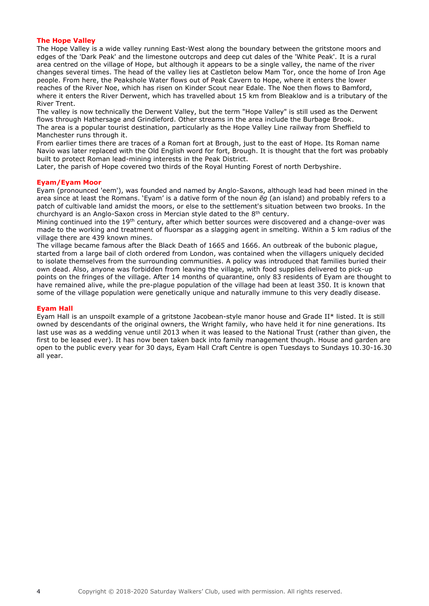#### **The Hope Valley**

The Hope Valley is a wide valley running East-West along the boundary between the gritstone moors and edges of the 'Dark Peak' and the limestone outcrops and deep cut dales of the 'White Peak'. It is a rural area centred on the village of Hope, but although it appears to be a single valley, the name of the river changes several times. The head of the valley lies at Castleton below Mam Tor, once the home of Iron Age people. From here, the Peakshole Water flows out of Peak Cavern to Hope, where it enters the lower reaches of the River Noe, which has risen on Kinder Scout near Edale. The Noe then flows to Bamford, where it enters the River Derwent, which has travelled about 15 km from Bleaklow and is a tributary of the River Trent.

The valley is now technically the Derwent Valley, but the term "Hope Valley" is still used as the Derwent flows through Hathersage and Grindleford. Other streams in the area include the Burbage Brook. The area is a popular tourist destination, particularly as the Hope Valley Line railway from Sheffield to Manchester runs through it.

From earlier times there are traces of a Roman fort at Brough, just to the east of Hope. Its Roman name Navio was later replaced with the Old English word for fort, Brough. It is thought that the fort was probably built to protect Roman lead-mining interests in the Peak District.

Later, the parish of Hope covered two thirds of the Royal Hunting Forest of north Derbyshire.

#### **Eyam/Eyam Moor**

Eyam (pronounced 'eem'), was founded and named by Anglo-Saxons, although lead had been mined in the area since at least the Romans. 'Eyam' is a dative form of the noun *ēg* (an island) and probably refers to a patch of cultivable land amidst the moors, or else to the settlement's situation between two brooks. In the churchyard is an Anglo-Saxon cross in Mercian style dated to the  $8<sup>th</sup>$  century.

Mining continued into the 19<sup>th</sup> century, after which better sources were discovered and a change-over was made to the working and treatment of fluorspar as a slagging agent in smelting. Within a 5 km radius of the village there are 439 known mines.

The village became famous after the Black Death of 1665 and 1666. An outbreak of the bubonic plague, started from a large bail of cloth ordered from London, was contained when the villagers uniquely decided to isolate themselves from the surrounding communities. A policy was introduced that families buried their own dead. Also, anyone was forbidden from leaving the village, with food supplies delivered to pick-up points on the fringes of the village. After 14 months of quarantine, only 83 residents of Eyam are thought to have remained alive, while the pre-plague population of the village had been at least 350. It is known that some of the village population were genetically unique and naturally immune to this very deadly disease.

#### **Eyam Hall**

Eyam Hall is an unspoilt example of a gritstone Jacobean-style manor house and Grade II\* listed. It is still owned by descendants of the original owners, the Wright family, who have held it for nine generations. Its last use was as a wedding venue until 2013 when it was leased to the National Trust (rather than given, the first to be leased ever). It has now been taken back into family management though. House and garden are open to the public every year for 30 days, Eyam Hall Craft Centre is open Tuesdays to Sundays 10.30-16.30 all year.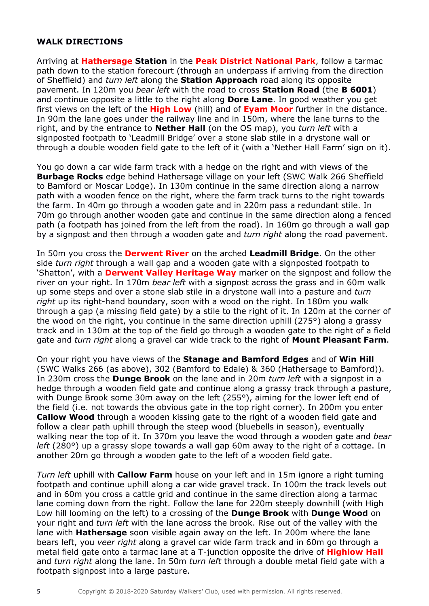## **WALK DIRECTIONS**

Arriving at **Hathersage Station** in the **Peak District National Park**, follow a tarmac path down to the station forecourt (through an underpass if arriving from the direction of Sheffield) and *turn left* along the **Station Approach** road along its opposite pavement. In 120m you *bear left* with the road to cross **Station Road** (the **B 6001**) and continue opposite a little to the right along **Dore Lane**. In good weather you get first views on the left of the **High Low** (hill) and of **Eyam Moor** further in the distance. In 90m the lane goes under the railway line and in 150m, where the lane turns to the right, and by the entrance to **Nether Hall** (on the OS map), you *turn left* with a signposted footpath to 'Leadmill Bridge' over a stone slab stile in a drystone wall or through a double wooden field gate to the left of it (with a 'Nether Hall Farm' sign on it).

You go down a car wide farm track with a hedge on the right and with views of the **Burbage Rocks** edge behind Hathersage village on your left (SWC Walk 266 Sheffield to Bamford or Moscar Lodge). In 130m continue in the same direction along a narrow path with a wooden fence on the right, where the farm track turns to the right towards the farm. In 40m go through a wooden gate and in 220m pass a redundant stile. In 70m go through another wooden gate and continue in the same direction along a fenced path (a footpath has joined from the left from the road). In 160m go through a wall gap by a signpost and then through a wooden gate and *turn right* along the road pavement.

In 50m you cross the **Derwent River** on the arched **Leadmill Bridge**. On the other side *turn right* through a wall gap and a wooden gate with a signposted footpath to 'Shatton', with a **Derwent Valley Heritage Way** marker on the signpost and follow the river on your right. In 170m *bear left* with a signpost across the grass and in 60m walk up some steps and over a stone slab stile in a drystone wall into a pasture and *turn right* up its right-hand boundary, soon with a wood on the right. In 180m you walk through a gap (a missing field gate) by a stile to the right of it. In 120m at the corner of the wood on the right, you continue in the same direction uphill (275°) along a grassy track and in 130m at the top of the field go through a wooden gate to the right of a field gate and *turn right* along a gravel car wide track to the right of **Mount Pleasant Farm**.

On your right you have views of the **Stanage and Bamford Edges** and of **Win Hill** (SWC Walks 266 (as above), 302 (Bamford to Edale) & 360 (Hathersage to Bamford)). In 230m cross the **Dunge Brook** on the lane and in 20m *turn left* with a signpost in a hedge through a wooden field gate and continue along a grassy track through a pasture, with Dunge Brook some 30m away on the left (255°), aiming for the lower left end of the field (i.e. not towards the obvious gate in the top right corner). In 200m you enter **Callow Wood** through a wooden kissing gate to the right of a wooden field gate and follow a clear path uphill through the steep wood (bluebells in season), eventually walking near the top of it. In 370m you leave the wood through a wooden gate and *bear left* (280°) up a grassy slope towards a wall gap 60m away to the right of a cottage. In another 20m go through a wooden gate to the left of a wooden field gate.

*Turn left* uphill with **Callow Farm** house on your left and in 15m ignore a right turning footpath and continue uphill along a car wide gravel track. In 100m the track levels out and in 60m you cross a cattle grid and continue in the same direction along a tarmac lane coming down from the right. Follow the lane for 220m steeply downhill (with High Low hill looming on the left) to a crossing of the **Dunge Brook** with **Dunge Wood** on your right and *turn left* with the lane across the brook. Rise out of the valley with the lane with **Hathersage** soon visible again away on the left. In 200m where the lane bears left, you *veer right* along a gravel car wide farm track and in 60m go through a metal field gate onto a tarmac lane at a T-junction opposite the drive of **Highlow Hall** and *turn right* along the lane. In 50m *turn left* through a double metal field gate with a footpath signpost into a large pasture.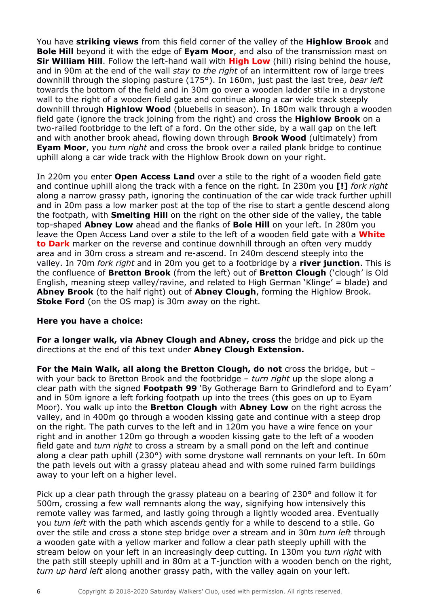You have **striking views** from this field corner of the valley of the **Highlow Brook** and **Bole Hill** beyond it with the edge of **Eyam Moor**, and also of the transmission mast on **Sir William Hill**. Follow the left-hand wall with **High Low** (hill) rising behind the house, and in 90m at the end of the wall *stay to the right* of an intermittent row of large trees downhill through the sloping pasture (175°). In 160m, just past the last tree, *bear left* towards the bottom of the field and in 30m go over a wooden ladder stile in a drystone wall to the right of a wooden field gate and continue along a car wide track steeply downhill through **Highlow Wood** (bluebells in season). In 180m walk through a wooden field gate (ignore the track joining from the right) and cross the **Highlow Brook** on a two-railed footbridge to the left of a ford. On the other side, by a wall gap on the left and with another brook ahead, flowing down through **Brook Wood** (ultimately) from **Eyam Moor**, you *turn right* and cross the brook over a railed plank bridge to continue uphill along a car wide track with the Highlow Brook down on your right.

In 220m you enter **Open Access Land** over a stile to the right of a wooden field gate and continue uphill along the track with a fence on the right. In 230m you **[!]** *fork right* along a narrow grassy path, ignoring the continuation of the car wide track further uphill and in 20m pass a low marker post at the top of the rise to start a gentle descend along the footpath, with **Smelting Hill** on the right on the other side of the valley, the table top-shaped **Abney Low** ahead and the flanks of **Bole Hill** on your left. In 280m you leave the Open Access Land over a stile to the left of a wooden field gate with a **White to Dark** marker on the reverse and continue downhill through an often very muddy area and in 30m cross a stream and re-ascend. In 240m descend steeply into the valley. In 70m *fork right* and in 20m you get to a footbridge by a **river junction**. This is the confluence of **Bretton Brook** (from the left) out of **Bretton Clough** ('clough' is Old English, meaning steep valley/ravine, and related to High German 'Klinge' = blade) and **Abney Brook** (to the half right) out of **Abney Clough**, forming the Highlow Brook. **Stoke Ford** (on the OS map) is 30m away on the right.

### **Here you have a choice:**

**For a longer walk, via Abney Clough and Abney, cross** the bridge and pick up the directions at the end of this text under **Abney Clough Extension.**

**For the Main Walk, all along the Bretton Clough, do not** cross the bridge, but – with your back to Bretton Brook and the footbridge – *turn right* up the slope along a clear path with the signed **Footpath 99** 'By Gotherage Barn to Grindleford and to Eyam' and in 50m ignore a left forking footpath up into the trees (this goes on up to Eyam Moor). You walk up into the **Bretton Clough** with **Abney Low** on the right across the valley, and in 400m go through a wooden kissing gate and continue with a steep drop on the right. The path curves to the left and in 120m you have a wire fence on your right and in another 120m go through a wooden kissing gate to the left of a wooden field gate and *turn right* to cross a stream by a small pond on the left and continue along a clear path uphill (230°) with some drystone wall remnants on your left. In 60m the path levels out with a grassy plateau ahead and with some ruined farm buildings away to your left on a higher level.

Pick up a clear path through the grassy plateau on a bearing of 230° and follow it for 500m, crossing a few wall remnants along the way, signifying how intensively this remote valley was farmed, and lastly going through a lightly wooded area. Eventually you *turn left* with the path which ascends gently for a while to descend to a stile. Go over the stile and cross a stone step bridge over a stream and in 30m *turn left* through a wooden gate with a yellow marker and follow a clear path steeply uphill with the stream below on your left in an increasingly deep cutting. In 130m you *turn right* with the path still steeply uphill and in 80m at a T-junction with a wooden bench on the right, *turn up hard left* along another grassy path, with the valley again on your left.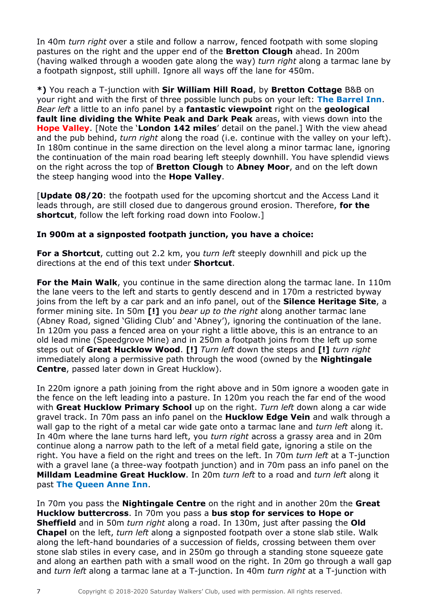In 40m *turn right* over a stile and follow a narrow, fenced footpath with some sloping pastures on the right and the upper end of the **Bretton Clough** ahead. In 200m (having walked through a wooden gate along the way) *turn right* along a tarmac lane by a footpath signpost, still uphill. Ignore all ways off the lane for 450m.

**\*)** You reach a T-junction with **Sir William Hill Road**, by **Bretton Cottage** B&B on your right and with the first of three possible lunch pubs on your left: **The Barrel Inn**. *Bear left* a little to an info panel by a **fantastic viewpoint** right on the **geological fault line dividing the White Peak and Dark Peak** areas, with views down into the **Hope Valley**. [Note the '**London 142 miles**' detail on the panel.] With the view ahead and the pub behind, *turn right* along the road (i.e. continue with the valley on your left). In 180m continue in the same direction on the level along a minor tarmac lane, ignoring the continuation of the main road bearing left steeply downhill. You have splendid views on the right across the top of **Bretton Clough** to **Abney Moor**, and on the left down the steep hanging wood into the **Hope Valley**.

[**Update 08/20**: the footpath used for the upcoming shortcut and the Access Land it leads through, are still closed due to dangerous ground erosion. Therefore, **for the shortcut**, follow the left forking road down into Foolow.]

## **In 900m at a signposted footpath junction, you have a choice:**

**For a Shortcut**, cutting out 2.2 km, you *turn left* steeply downhill and pick up the directions at the end of this text under **Shortcut**.

**For the Main Walk**, you continue in the same direction along the tarmac lane. In 110m the lane veers to the left and starts to gently descend and in 170m a restricted byway joins from the left by a car park and an info panel, out of the **Silence Heritage Site**, a former mining site. In 50m **[!]** you *bear up to the right* along another tarmac lane (Abney Road, signed 'Gliding Club' and 'Abney'), ignoring the continuation of the lane. In 120m you pass a fenced area on your right a little above, this is an entrance to an old lead mine (Speedgrove Mine) and in 250m a footpath joins from the left up some steps out of **Great Hucklow Wood**. **[!]** *Turn left* down the steps and **[!]** *turn right* immediately along a permissive path through the wood (owned by the **Nightingale Centre**, passed later down in Great Hucklow).

In 220m ignore a path joining from the right above and in 50m ignore a wooden gate in the fence on the left leading into a pasture. In 120m you reach the far end of the wood with **Great Hucklow Primary School** up on the right. *Turn left* down along a car wide gravel track. In 70m pass an info panel on the **Hucklow Edge Vein** and walk through a wall gap to the right of a metal car wide gate onto a tarmac lane and *turn left* along it. In 40m where the lane turns hard left, you *turn right* across a grassy area and in 20m continue along a narrow path to the left of a metal field gate, ignoring a stile on the right. You have a field on the right and trees on the left. In 70m *turn left* at a T-junction with a gravel lane (a three-way footpath junction) and in 70m pass an info panel on the **Milldam Leadmine Great Hucklow**. In 20m *turn left* to a road and *turn left* along it past **The Queen Anne Inn**.

In 70m you pass the **Nightingale Centre** on the right and in another 20m the **Great Hucklow buttercross**. In 70m you pass a **bus stop for services to Hope or Sheffield** and in 50m *turn right* along a road. In 130m, just after passing the **Old Chapel** on the left, *turn left* along a signposted footpath over a stone slab stile. Walk along the left-hand boundaries of a succession of fields, crossing between them over stone slab stiles in every case, and in 250m go through a standing stone squeeze gate and along an earthen path with a small wood on the right. In 20m go through a wall gap and *turn left* along a tarmac lane at a T-junction. In 40m *turn right* at a T-junction with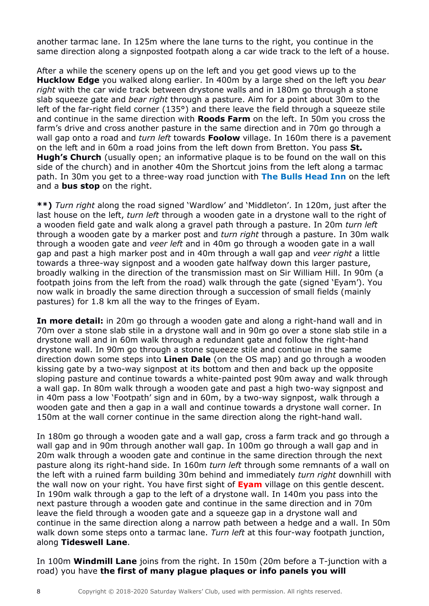another tarmac lane. In 125m where the lane turns to the right, you continue in the same direction along a signposted footpath along a car wide track to the left of a house.

After a while the scenery opens up on the left and you get good views up to the **Hucklow Edge** you walked along earlier. In 400m by a large shed on the left you *bear right* with the car wide track between drystone walls and in 180m go through a stone slab squeeze gate and *bear right* through a pasture. Aim for a point about 30m to the left of the far-right field corner (135°) and there leave the field through a squeeze stile and continue in the same direction with **Roods Farm** on the left. In 50m you cross the farm's drive and cross another pasture in the same direction and in 70m go through a wall gap onto a road and *turn left* towards **Foolow** village. In 160m there is a pavement on the left and in 60m a road joins from the left down from Bretton. You pass **St. Hugh's Church** (usually open; an informative plaque is to be found on the wall on this side of the church) and in another 40m the Shortcut joins from the left along a tarmac path. In 30m you get to a three-way road junction with **The Bulls Head Inn** on the left and a **bus stop** on the right.

**\*\*)** *Turn right* along the road signed 'Wardlow' and 'Middleton'. In 120m, just after the last house on the left, *turn left* through a wooden gate in a drystone wall to the right of a wooden field gate and walk along a gravel path through a pasture. In 20m *turn left* through a wooden gate by a marker post and *turn right* through a pasture. In 30m walk through a wooden gate and *veer left* and in 40m go through a wooden gate in a wall gap and past a high marker post and in 40m through a wall gap and *veer right* a little towards a three-way signpost and a wooden gate halfway down this larger pasture, broadly walking in the direction of the transmission mast on Sir William Hill. In 90m (a footpath joins from the left from the road) walk through the gate (signed 'Eyam'). You now walk in broadly the same direction through a succession of small fields (mainly pastures) for 1.8 km all the way to the fringes of Eyam.

**In more detail:** in 20m go through a wooden gate and along a right-hand wall and in 70m over a stone slab stile in a drystone wall and in 90m go over a stone slab stile in a drystone wall and in 60m walk through a redundant gate and follow the right-hand drystone wall. In 90m go through a stone squeeze stile and continue in the same direction down some steps into **Linen Dale** (on the OS map) and go through a wooden kissing gate by a two-way signpost at its bottom and then and back up the opposite sloping pasture and continue towards a white-painted post 90m away and walk through a wall gap. In 80m walk through a wooden gate and past a high two-way signpost and in 40m pass a low 'Footpath' sign and in 60m, by a two-way signpost, walk through a wooden gate and then a gap in a wall and continue towards a drystone wall corner. In 150m at the wall corner continue in the same direction along the right-hand wall.

In 180m go through a wooden gate and a wall gap, cross a farm track and go through a wall gap and in 90m through another wall gap. In 100m go through a wall gap and in 20m walk through a wooden gate and continue in the same direction through the next pasture along its right-hand side. In 160m *turn left* through some remnants of a wall on the left with a ruined farm building 30m behind and immediately *turn right* downhill with the wall now on your right. You have first sight of **Eyam** village on this gentle descent. In 190m walk through a gap to the left of a drystone wall. In 140m you pass into the next pasture through a wooden gate and continue in the same direction and in 70m leave the field through a wooden gate and a squeeze gap in a drystone wall and continue in the same direction along a narrow path between a hedge and a wall. In 50m walk down some steps onto a tarmac lane. *Turn left* at this four-way footpath junction, along **Tideswell Lane**.

In 100m **Windmill Lane** joins from the right. In 150m (20m before a T-junction with a road) you have **the first of many plague plaques or info panels you will**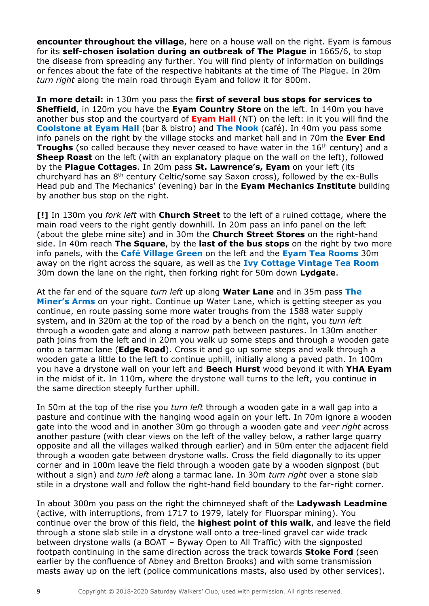**encounter throughout the village**, here on a house wall on the right. Eyam is famous for its **self-chosen isolation during an outbreak of The Plague** in 1665/6, to stop the disease from spreading any further. You will find plenty of information on buildings or fences about the fate of the respective habitants at the time of The Plague. In 20m *turn right* along the main road through Eyam and follow it for 800m.

**In more detail:** in 130m you pass the **first of several bus stops for services to Sheffield**, in 120m you have the **Eyam Country Store** on the left. In 140m you have another bus stop and the courtyard of **Eyam Hall** (NT) on the left: in it you will find the **Coolstone at Eyam Hall** (bar & bistro) and **The Nook** (café). In 40m you pass some info panels on the right by the village stocks and market hall and in 70m the **Ever End Troughs** (so called because they never ceased to have water in the 16<sup>th</sup> century) and a **Sheep Roast** on the left (with an explanatory plaque on the wall on the left), followed by the **Plague Cottages**. In 20m pass **St. Lawrence's, Eyam** on your left (its churchyard has an 8th century Celtic/some say Saxon cross), followed by the ex-Bulls Head pub and The Mechanics' (evening) bar in the **Eyam Mechanics Institute** building by another bus stop on the right.

**[!]** In 130m you *fork left* with **Church Street** to the left of a ruined cottage, where the main road veers to the right gently downhill. In 20m pass an info panel on the left (about the glebe mine site) and in 30m the **Church Street Stores** on the right-hand side. In 40m reach **The Square**, by the **last of the bus stops** on the right by two more info panels, with the **Café Village Green** on the left and the **Eyam Tea Rooms** 30m away on the right across the square, as well as the **Ivy Cottage Vintage Tea Room** 30m down the lane on the right, then forking right for 50m down **Lydgate**.

At the far end of the square *turn left* up along **Water Lane** and in 35m pass **The Miner's Arms** on your right. Continue up Water Lane, which is getting steeper as you continue, en route passing some more water troughs from the 1588 water supply system, and in 320m at the top of the road by a bench on the right, you *turn left* through a wooden gate and along a narrow path between pastures. In 130m another path joins from the left and in 20m you walk up some steps and through a wooden gate onto a tarmac lane (**Edge Road**). Cross it and go up some steps and walk through a wooden gate a little to the left to continue uphill, initially along a paved path. In 100m you have a drystone wall on your left and **Beech Hurst** wood beyond it with **YHA Eyam** in the midst of it. In 110m, where the drystone wall turns to the left, you continue in the same direction steeply further uphill.

In 50m at the top of the rise you *turn left* through a wooden gate in a wall gap into a pasture and continue with the hanging wood again on your left. In 70m ignore a wooden gate into the wood and in another 30m go through a wooden gate and *veer right* across another pasture (with clear views on the left of the valley below, a rather large quarry opposite and all the villages walked through earlier) and in 50m enter the adjacent field through a wooden gate between drystone walls. Cross the field diagonally to its upper corner and in 100m leave the field through a wooden gate by a wooden signpost (but without a sign) and *turn left* along a tarmac lane. In 30m *turn right* over a stone slab stile in a drystone wall and follow the right-hand field boundary to the far-right corner.

In about 300m you pass on the right the chimneyed shaft of the **Ladywash Leadmine** (active, with interruptions, from 1717 to 1979, lately for Fluorspar mining). You continue over the brow of this field, the **highest point of this walk**, and leave the field through a stone slab stile in a drystone wall onto a tree-lined gravel car wide track between drystone walls (a BOAT – Byway Open to All Traffic) with the signposted footpath continuing in the same direction across the track towards **Stoke Ford** (seen earlier by the confluence of Abney and Bretton Brooks) and with some transmission masts away up on the left (police communications masts, also used by other services).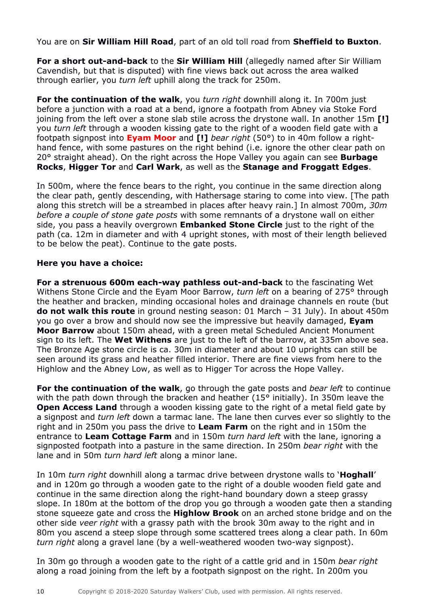You are on **Sir William Hill Road**, part of an old toll road from **Sheffield to Buxton**.

**For a short out-and-back** to the **Sir William Hill** (allegedly named after Sir William Cavendish, but that is disputed) with fine views back out across the area walked through earlier, you *turn left* uphill along the track for 250m.

**For the continuation of the walk**, you *turn right* downhill along it. In 700m just before a junction with a road at a bend, ignore a footpath from Abney via Stoke Ford joining from the left over a stone slab stile across the drystone wall. In another 15m **[!]**  you *turn left* through a wooden kissing gate to the right of a wooden field gate with a footpath signpost into **Eyam Moor** and **[!]** *bear right* (50°) to in 40m follow a righthand fence, with some pastures on the right behind (i.e. ignore the other clear path on 20° straight ahead). On the right across the Hope Valley you again can see **Burbage Rocks**, **Higger Tor** and **Carl Wark**, as well as the **Stanage and Froggatt Edges**.

In 500m, where the fence bears to the right, you continue in the same direction along the clear path, gently descending, with Hathersage staring to come into view. [The path along this stretch will be a streambed in places after heavy rain.] In almost 700m, *30m before a couple of stone gate posts* with some remnants of a drystone wall on either side, you pass a heavily overgrown **Embanked Stone Circle** just to the right of the path (ca. 12m in diameter and with 4 upright stones, with most of their length believed to be below the peat). Continue to the gate posts.

### **Here you have a choice:**

**For a strenuous 600m each-way pathless out-and-back** to the fascinating Wet Withens Stone Circle and the Eyam Moor Barrow, *turn left* on a bearing of 275° through the heather and bracken, minding occasional holes and drainage channels en route (but **do not walk this route** in ground nesting season: 01 March – 31 July). In about 450m you go over a brow and should now see the impressive but heavily damaged, **Eyam Moor Barrow** about 150m ahead, with a green metal Scheduled Ancient Monument sign to its left. The **Wet Withens** are just to the left of the barrow, at 335m above sea. The Bronze Age stone circle is ca. 30m in diameter and about 10 uprights can still be seen around its grass and heather filled interior. There are fine views from here to the Highlow and the Abney Low, as well as to Higger Tor across the Hope Valley.

**For the continuation of the walk**, go through the gate posts and *bear left* to continue with the path down through the bracken and heather (15 $\degree$  initially). In 350m leave the **Open Access Land** through a wooden kissing gate to the right of a metal field gate by a signpost and *turn left* down a tarmac lane. The lane then curves ever so slightly to the right and in 250m you pass the drive to **Leam Farm** on the right and in 150m the entrance to **Leam Cottage Farm** and in 150m *turn hard left* with the lane, ignoring a signposted footpath into a pasture in the same direction. In 250m *bear right* with the lane and in 50m *turn hard left* along a minor lane.

In 10m *turn right* downhill along a tarmac drive between drystone walls to '**Hoghall**' and in 120m go through a wooden gate to the right of a double wooden field gate and continue in the same direction along the right-hand boundary down a steep grassy slope. In 180m at the bottom of the drop you go through a wooden gate then a standing stone squeeze gate and cross the **Highlow Brook** on an arched stone bridge and on the other side *veer right* with a grassy path with the brook 30m away to the right and in 80m you ascend a steep slope through some scattered trees along a clear path. In 60m *turn right* along a gravel lane (by a well-weathered wooden two-way signpost).

In 30m go through a wooden gate to the right of a cattle grid and in 150m *bear right* along a road joining from the left by a footpath signpost on the right. In 200m you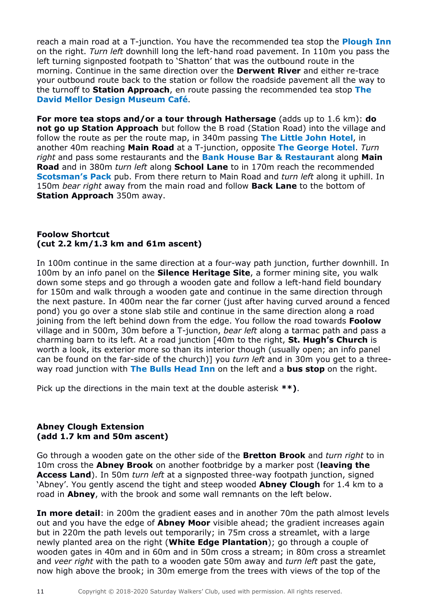reach a main road at a T-junction. You have the recommended tea stop the **Plough Inn** on the right. *Turn left* downhill long the left-hand road pavement. In 110m you pass the left turning signposted footpath to 'Shatton' that was the outbound route in the morning. Continue in the same direction over the **Derwent River** and either re-trace your outbound route back to the station or follow the roadside pavement all the way to the turnoff to **Station Approach**, en route passing the recommended tea stop **The David Mellor Design Museum Café**.

**For more tea stops and/or a tour through Hathersage** (adds up to 1.6 km): **do not go up Station Approach** but follow the B road (Station Road) into the village and follow the route as per the route map, in 340m passing **The Little John Hotel**, in another 40m reaching **Main Road** at a T-junction, opposite **The George Hotel**. *Turn right* and pass some restaurants and the **Bank House Bar & Restaurant** along **Main Road** and in 380m *turn left* along **School Lane** to in 170m reach the recommended **Scotsman's Pack** pub. From there return to Main Road and *turn left* along it uphill. In 150m *bear right* away from the main road and follow **Back Lane** to the bottom of **Station Approach** 350m away.

## **Foolow Shortcut (cut 2.2 km/1.3 km and 61m ascent)**

In 100m continue in the same direction at a four-way path junction, further downhill. In 100m by an info panel on the **Silence Heritage Site**, a former mining site, you walk down some steps and go through a wooden gate and follow a left-hand field boundary for 150m and walk through a wooden gate and continue in the same direction through the next pasture. In 400m near the far corner (just after having curved around a fenced pond) you go over a stone slab stile and continue in the same direction along a road joining from the left behind down from the edge. You follow the road towards **Foolow** village and in 500m, 30m before a T-junction, *bear left* along a tarmac path and pass a charming barn to its left. At a road junction [40m to the right, **St. Hugh's Church** is worth a look, its exterior more so than its interior though (usually open; an info panel can be found on the far-side of the church)] you *turn left* and in 30m you get to a threeway road junction with **The Bulls Head Inn** on the left and a **bus stop** on the right.

Pick up the directions in the main text at the double asterisk **\*\*)**.

### **Abney Clough Extension (add 1.7 km and 50m ascent)**

Go through a wooden gate on the other side of the **Bretton Brook** and *turn right* to in 10m cross the **Abney Brook** on another footbridge by a marker post (**leaving the Access Land**). In 50m *turn left* at a signposted three-way footpath junction, signed 'Abney'. You gently ascend the tight and steep wooded **Abney Clough** for 1.4 km to a road in **Abney**, with the brook and some wall remnants on the left below.

**In more detail**: in 200m the gradient eases and in another 70m the path almost levels out and you have the edge of **Abney Moor** visible ahead; the gradient increases again but in 220m the path levels out temporarily; in 75m cross a streamlet, with a large newly planted area on the right (**White Edge Plantation**); go through a couple of wooden gates in 40m and in 60m and in 50m cross a stream; in 80m cross a streamlet and *veer right* with the path to a wooden gate 50m away and *turn left* past the gate, now high above the brook; in 30m emerge from the trees with views of the top of the